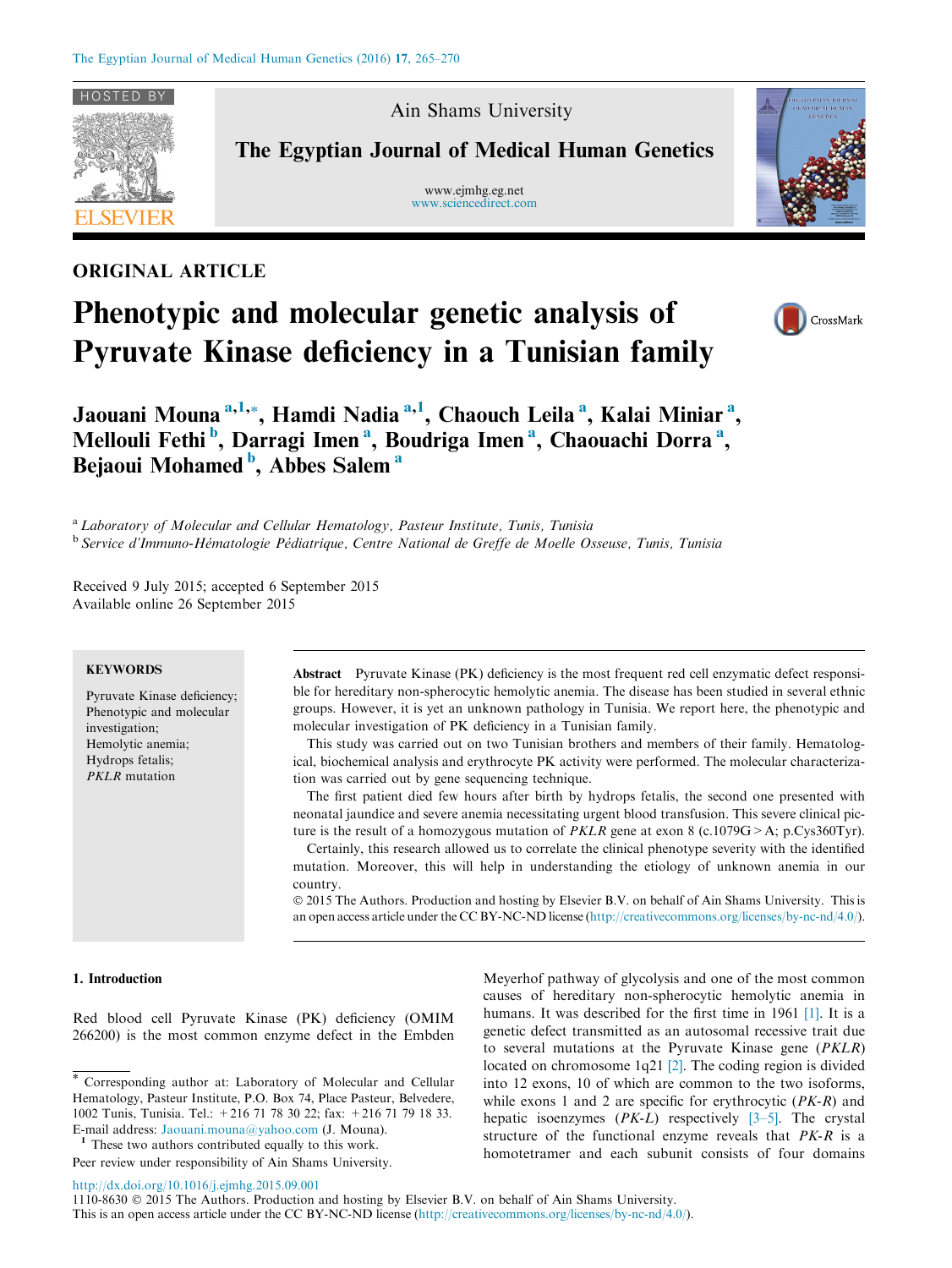

Ain Shams University

The Egyptian Journal of Medical Human Genetics

www.ejmhg.eg.net [www.sciencedirect.com](http://www.sciencedirect.com/science/journal/11108630)



# ORIGINAL ARTICLE

# Phenotypic and molecular genetic analysis of Pyruvate Kinase deficiency in a Tunisian family



Jaouani Mouna <sup>a,1,</sup>\*, Hamdi Nadia <sup>a,1</sup>, Chaouch Leila <sup>a</sup>, Kalai Miniar <sup>a</sup>, Mellouli Fethi<sup>b</sup>, Darragi Imen<sup>a</sup>, Boudriga Imen<sup>a</sup>, Chaouachi Dorra<sup>a</sup>, Bejaoui Mohamed<sup>b</sup>, Abbes Salem<sup>a</sup>

<sup>a</sup> Laboratory of Molecular and Cellular Hematology, Pasteur Institute, Tunis, Tunisia <sup>b</sup> Service d'Immuno-Hématologie Pédiatrique, Centre National de Greffe de Moelle Osseuse, Tunis, Tunisia

Received 9 July 2015; accepted 6 September 2015 Available online 26 September 2015

# **KEYWORDS**

Pyruvate Kinase deficiency; Phenotypic and molecular investigation; Hemolytic anemia; Hydrops fetalis; PKLR mutation

Abstract Pyruvate Kinase (PK) deficiency is the most frequent red cell enzymatic defect responsible for hereditary non-spherocytic hemolytic anemia. The disease has been studied in several ethnic groups. However, it is yet an unknown pathology in Tunisia. We report here, the phenotypic and molecular investigation of PK deficiency in a Tunisian family.

This study was carried out on two Tunisian brothers and members of their family. Hematological, biochemical analysis and erythrocyte PK activity were performed. The molecular characterization was carried out by gene sequencing technique.

The first patient died few hours after birth by hydrops fetalis, the second one presented with neonatal jaundice and severe anemia necessitating urgent blood transfusion. This severe clinical picture is the result of a homozygous mutation of *PKLR* gene at exon 8 (c.1079G > A; p.Cys360Tyr). Certainly, this research allowed us to correlate the clinical phenotype severity with the identified

mutation. Moreover, this will help in understanding the etiology of unknown anemia in our country.

 2015 The Authors. Production and hosting by Elsevier B.V. on behalf of Ain Shams University. This is an open access article under the CC BY-NC-ND license [\(http://creativecommons.org/licenses/by-nc-nd/4.0/\)](http://creativecommons.org/licenses/by-nc-nd/4.0/).

# 1. Introduction

Red blood cell Pyruvate Kinase (PK) deficiency (OMIM 266200) is the most common enzyme defect in the Embden Meyerhof pathway of glycolysis and one of the most common causes of hereditary non-spherocytic hemolytic anemia in humans. It was described for the first time in 1961 [\[1\].](#page-5-0) It is a genetic defect transmitted as an autosomal recessive trait due to several mutations at the Pyruvate Kinase gene (PKLR) located on chromosome 1q21 [\[2\]](#page-5-0). The coding region is divided into 12 exons, 10 of which are common to the two isoforms, while exons 1 and 2 are specific for erythrocytic  $(PK-R)$  and hepatic isoenzymes  $(PK-L)$  respectively  $[3-5]$ . The crystal structure of the functional enzyme reveals that PK-R is a homotetramer and each subunit consists of four domains

<http://dx.doi.org/10.1016/j.ejmhg.2015.09.001>

1110-8630 2015 The Authors. Production and hosting by Elsevier B.V. on behalf of Ain Shams University.

<sup>\*</sup> Corresponding author at: Laboratory of Molecular and Cellular Hematology, Pasteur Institute, P.O. Box 74, Place Pasteur, Belvedere, 1002 Tunis, Tunisia. Tel.: +216 71 78 30 22; fax: +216 71 79 18 33. E-mail address: [Jaouani.mouna@yahoo.com](mailto:Jaouani.mouna@yahoo.com) (J. Mouna).<br><sup>1</sup> These two authors contributed equally to this work.

Peer review under responsibility of Ain Shams University.

This is an open access article under the CC BY-NC-ND license [\(http://creativecommons.org/licenses/by-nc-nd/4.0/](http://creativecommons.org/licenses/by-nc-nd/4.0/)).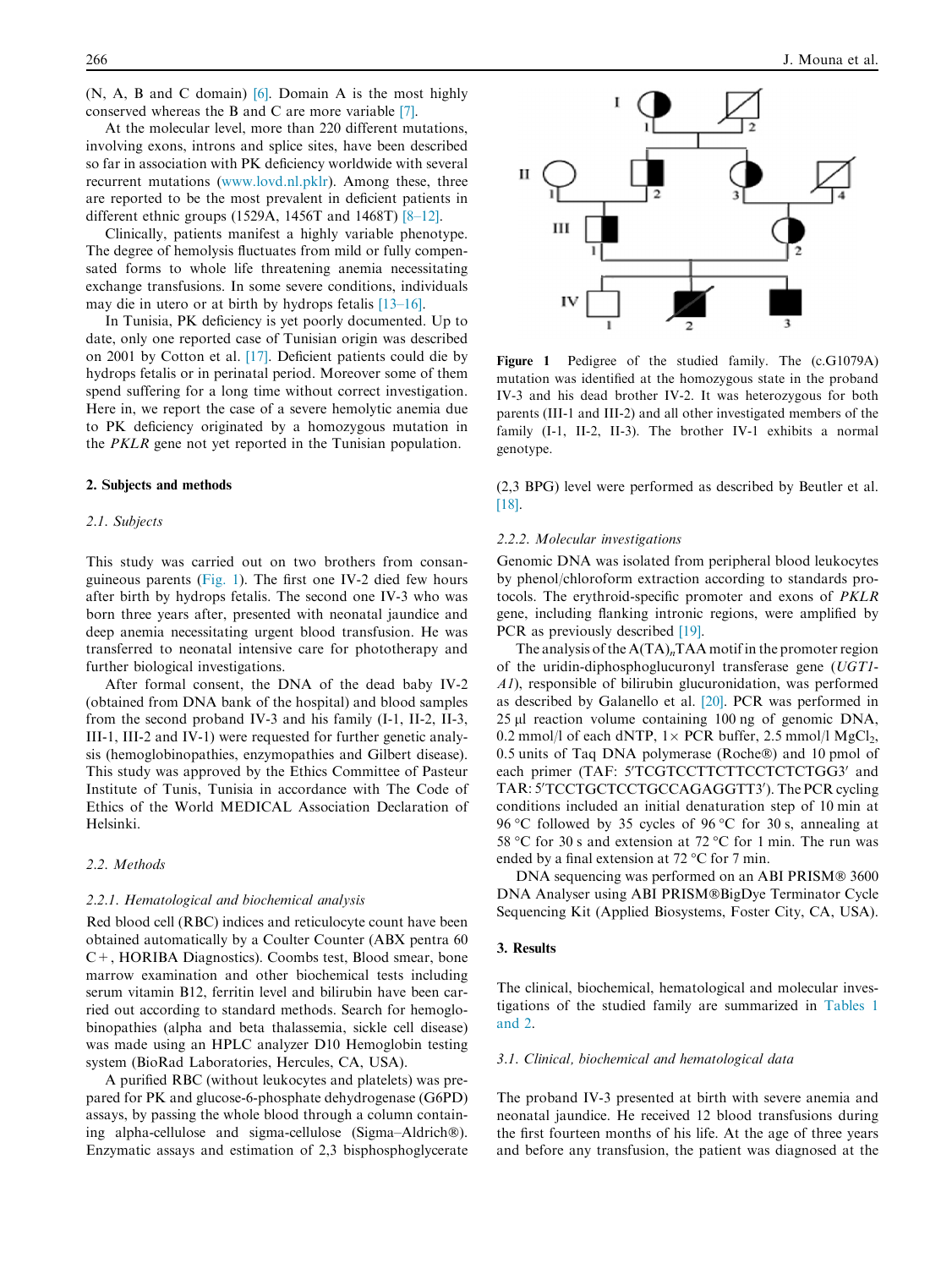(N, A, B and C domain) [\[6\].](#page-5-0) Domain A is the most highly conserved whereas the B and C are more variable [\[7\]](#page-5-0).

At the molecular level, more than 220 different mutations, involving exons, introns and splice sites, have been described so far in association with PK deficiency worldwide with several recurrent mutations ([www.lovd.nl.pklr](http://www.lovd.nl.pklr)). Among these, three are reported to be the most prevalent in deficient patients in different ethnic groups (1529A, 1456T and 1468T) [\[8–12\].](#page-5-0)

Clinically, patients manifest a highly variable phenotype. The degree of hemolysis fluctuates from mild or fully compensated forms to whole life threatening anemia necessitating exchange transfusions. In some severe conditions, individuals may die in utero or at birth by hydrops fetalis [\[13–16\]](#page-5-0).

In Tunisia, PK deficiency is yet poorly documented. Up to date, only one reported case of Tunisian origin was described on 2001 by Cotton et al. [\[17\].](#page-5-0) Deficient patients could die by hydrops fetalis or in perinatal period. Moreover some of them spend suffering for a long time without correct investigation. Here in, we report the case of a severe hemolytic anemia due to PK deficiency originated by a homozygous mutation in the PKLR gene not yet reported in the Tunisian population.

#### 2. Subjects and methods

#### 2.1. Subjects

This study was carried out on two brothers from consanguineous parents (Fig. 1). The first one IV-2 died few hours after birth by hydrops fetalis. The second one IV-3 who was born three years after, presented with neonatal jaundice and deep anemia necessitating urgent blood transfusion. He was transferred to neonatal intensive care for phototherapy and further biological investigations.

After formal consent, the DNA of the dead baby IV-2 (obtained from DNA bank of the hospital) and blood samples from the second proband IV-3 and his family (I-1, II-2, II-3, III-1, III-2 and IV-1) were requested for further genetic analysis (hemoglobinopathies, enzymopathies and Gilbert disease). This study was approved by the Ethics Committee of Pasteur Institute of Tunis, Tunisia in accordance with The Code of Ethics of the World MEDICAL Association Declaration of Helsinki.

#### 2.2. Methods

#### 2.2.1. Hematological and biochemical analysis

Red blood cell (RBC) indices and reticulocyte count have been obtained automatically by a Coulter Counter (ABX pentra 60 C+, HORIBA Diagnostics). Coombs test, Blood smear, bone marrow examination and other biochemical tests including serum vitamin B12, ferritin level and bilirubin have been carried out according to standard methods. Search for hemoglobinopathies (alpha and beta thalassemia, sickle cell disease) was made using an HPLC analyzer D10 Hemoglobin testing system (BioRad Laboratories, Hercules, CA, USA).

A purified RBC (without leukocytes and platelets) was prepared for PK and glucose-6-phosphate dehydrogenase (G6PD) assays, by passing the whole blood through a column containing alpha-cellulose and sigma-cellulose (Sigma-Aldrich<sup>®</sup>). Enzymatic assays and estimation of 2,3 bisphosphoglycerate



Figure 1 Pedigree of the studied family. The (c.G1079A) mutation was identified at the homozygous state in the proband IV-3 and his dead brother IV-2. It was heterozygous for both parents (III-1 and III-2) and all other investigated members of the family (I-1, II-2, II-3). The brother IV-1 exhibits a normal genotype.

(2,3 BPG) level were performed as described by Beutler et al. [\[18\].](#page-5-0)

#### 2.2.2. Molecular investigations

Genomic DNA was isolated from peripheral blood leukocytes by phenol/chloroform extraction according to standards protocols. The erythroid-specific promoter and exons of PKLR gene, including flanking intronic regions, were amplified by PCR as previously described [\[19\].](#page-5-0)

The analysis of the  $A(TA)<sub>n</sub>TAA$  motif in the promoter region of the uridin-diphosphoglucuronyl transferase gene (UGT1- A1), responsible of bilirubin glucuronidation, was performed as described by Galanello et al. [\[20\].](#page-5-0) PCR was performed in 25 µl reaction volume containing 100 ng of genomic DNA, 0.2 mmol/l of each dNTP,  $1 \times$  PCR buffer, 2.5 mmol/l MgCl<sub>2</sub>, 0.5 units of Taq DNA polymerase (Roche®) and 10 pmol of each primer (TAF: 5'TCGTCCTTCTTCCTCTCTGG3' and TAR: 5'TCCTGCTCCTGCCAGAGGTT3'). The PCR cycling conditions included an initial denaturation step of 10 min at 96 °C followed by 35 cycles of 96 °C for 30 s, annealing at 58 °C for 30 s and extension at 72 °C for 1 min. The run was ended by a final extension at 72  $\mathrm{^{\circ}C}$  for 7 min.

DNA sequencing was performed on an ABI PRISM® 3600 DNA Analyser using ABI PRISM®BigDye Terminator Cycle Sequencing Kit (Applied Biosystems, Foster City, CA, USA).

#### 3. Results

The clinical, biochemical, hematological and molecular investigations of the studied family are summarized in [Tables 1](#page-2-0) [and 2.](#page-2-0)

#### 3.1. Clinical, biochemical and hematological data

The proband IV-3 presented at birth with severe anemia and neonatal jaundice. He received 12 blood transfusions during the first fourteen months of his life. At the age of three years and before any transfusion, the patient was diagnosed at the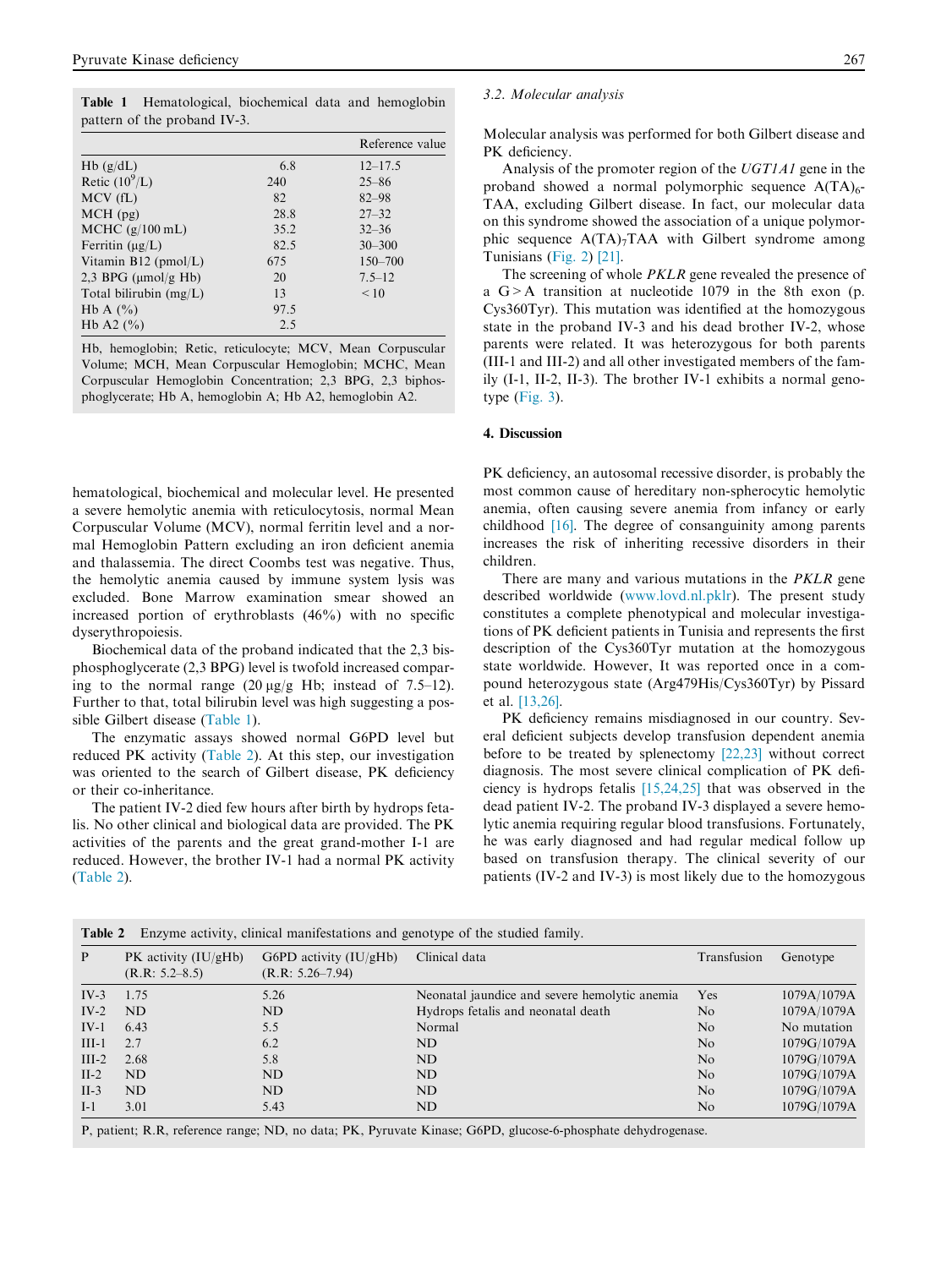<span id="page-2-0"></span>Table 1 Hematological, biochemical data and hemoglobin pattern of the proband IV-3.

|                          |      | Reference value |
|--------------------------|------|-----------------|
| Hb(g/dL)                 | 6.8  | $12 - 17.5$     |
| Retic $(10^9/L)$         | 240  | $25 - 86$       |
| $MCV$ (fL)               | 82   | $82 - 98$       |
| $MCH$ (pg)               | 28.8 | $27 - 32$       |
| MCHC $(g/100$ mL)        | 35.2 | $32 - 36$       |
| Ferritin $(\mu g/L)$     | 82.5 | $30 - 300$      |
| Vitamin $B12$ (pmol/L)   | 675  | $150 - 700$     |
| 2,3 BPG $(\mu mol/g Hb)$ | 20   | $7.5 - 12$      |
| Total bilirubin $(mg/L)$ | 13   | < 10            |
| Hb A $(\% )$             | 97.5 |                 |
| Hb A2 $(%)$              | 2.5  |                 |

Hb, hemoglobin; Retic, reticulocyte; MCV, Mean Corpuscular Volume; MCH, Mean Corpuscular Hemoglobin; MCHC, Mean Corpuscular Hemoglobin Concentration; 2,3 BPG, 2,3 biphosphoglycerate; Hb A, hemoglobin A; Hb A2, hemoglobin A2.

hematological, biochemical and molecular level. He presented a severe hemolytic anemia with reticulocytosis, normal Mean Corpuscular Volume (MCV), normal ferritin level and a normal Hemoglobin Pattern excluding an iron deficient anemia and thalassemia. The direct Coombs test was negative. Thus, the hemolytic anemia caused by immune system lysis was excluded. Bone Marrow examination smear showed an increased portion of erythroblasts (46%) with no specific dyserythropoiesis.

Biochemical data of the proband indicated that the 2,3 bisphosphoglycerate (2,3 BPG) level is twofold increased comparing to the normal range  $(20 \mu g/g Hb)$ ; instead of 7.5–12). Further to that, total bilirubin level was high suggesting a possible Gilbert disease (Table 1).

The enzymatic assays showed normal G6PD level but reduced PK activity (Table 2). At this step, our investigation was oriented to the search of Gilbert disease, PK deficiency or their co-inheritance.

The patient IV-2 died few hours after birth by hydrops fetalis. No other clinical and biological data are provided. The PK activities of the parents and the great grand-mother I-1 are reduced. However, the brother IV-1 had a normal PK activity (Table 2).

#### 3.2. Molecular analysis

Molecular analysis was performed for both Gilbert disease and PK deficiency.

Analysis of the promoter region of the UGT1A1 gene in the proband showed a normal polymorphic sequence  $A(TA)_{6}$ -TAA, excluding Gilbert disease. In fact, our molecular data on this syndrome showed the association of a unique polymorphic sequence  $A(TA)_{7}TAA$  with Gilbert syndrome among Tunisians [\(Fig. 2](#page-3-0)) [\[21\]](#page-5-0).

The screening of whole *PKLR* gene revealed the presence of a G>A transition at nucleotide 1079 in the 8th exon (p. Cys360Tyr). This mutation was identified at the homozygous state in the proband IV-3 and his dead brother IV-2, whose parents were related. It was heterozygous for both parents (III-1 and III-2) and all other investigated members of the family (I-1, II-2, II-3). The brother IV-1 exhibits a normal genotype ([Fig. 3](#page-3-0)).

#### 4. Discussion

PK deficiency, an autosomal recessive disorder, is probably the most common cause of hereditary non-spherocytic hemolytic anemia, often causing severe anemia from infancy or early childhood [\[16\].](#page-5-0) The degree of consanguinity among parents increases the risk of inheriting recessive disorders in their children.

There are many and various mutations in the PKLR gene described worldwide [\(www.lovd.nl.pklr\)](http://www.lovd.nl.pklr). The present study constitutes a complete phenotypical and molecular investigations of PK deficient patients in Tunisia and represents the first description of the Cys360Tyr mutation at the homozygous state worldwide. However, It was reported once in a compound heterozygous state (Arg479His/Cys360Tyr) by Pissard et al. [\[13,26\].](#page-5-0)

PK deficiency remains misdiagnosed in our country. Several deficient subjects develop transfusion dependent anemia before to be treated by splenectomy [\[22,23\]](#page-5-0) without correct diagnosis. The most severe clinical complication of PK deficiency is hydrops fetalis [\[15,24,25\]](#page-5-0) that was observed in the dead patient IV-2. The proband IV-3 displayed a severe hemolytic anemia requiring regular blood transfusions. Fortunately, he was early diagnosed and had regular medical follow up based on transfusion therapy. The clinical severity of our patients (IV-2 and IV-3) is most likely due to the homozygous

|         | Enzyme activity, clinical manifestations and genotype of the studied family.<br>Table 2 |                                                |                                               |                |             |  |  |  |  |
|---------|-----------------------------------------------------------------------------------------|------------------------------------------------|-----------------------------------------------|----------------|-------------|--|--|--|--|
| P       | PK activity $(IU/gHb)$<br>(R.R: 5.2–8.5)                                                | G6PD activity $(IU/gHb)$<br>$(R.R: 5.26-7.94)$ | Clinical data                                 | Transfusion    | Genotype    |  |  |  |  |
| $IV-3$  | 1.75                                                                                    | 5.26                                           | Neonatal jaundice and severe hemolytic anemia | Yes            | 1079A/1079A |  |  |  |  |
| $IV-2$  | ND.                                                                                     | ND                                             | Hydrops fetalis and neonatal death            | N <sub>o</sub> | 1079A/1079A |  |  |  |  |
| $IV-1$  | 6.43                                                                                    | 5.5                                            | Normal                                        | N <sub>o</sub> | No mutation |  |  |  |  |
| $III-1$ | 2.7                                                                                     | 6.2                                            | ND                                            | N <sub>o</sub> | 1079G/1079A |  |  |  |  |
| $III-2$ | 2.68                                                                                    | 5.8                                            | ND                                            | N <sub>o</sub> | 1079G/1079A |  |  |  |  |
| $II-2$  | ND.                                                                                     | ND                                             | ND                                            | N <sub>o</sub> | 1079G/1079A |  |  |  |  |
| $II-3$  | ND.                                                                                     | ND                                             | ND                                            | N <sub>o</sub> | 1079G/1079A |  |  |  |  |
| $I-1$   | 3.01                                                                                    | 5.43                                           | ND                                            | N <sub>o</sub> | 1079G/1079A |  |  |  |  |

P, patient; R.R, reference range; ND, no data; PK, Pyruvate Kinase; G6PD, glucose-6-phosphate dehydrogenase.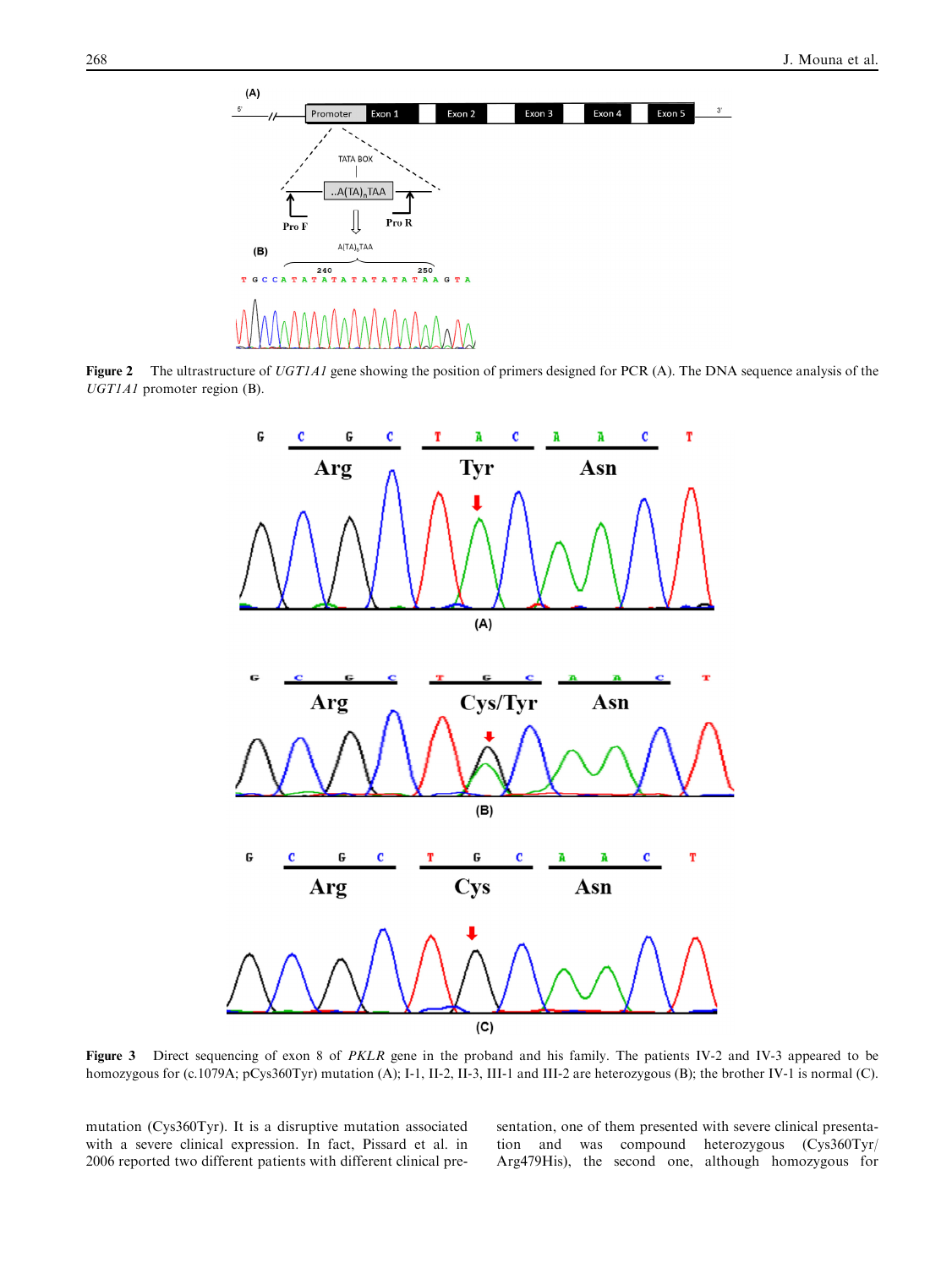<span id="page-3-0"></span>

Figure 2 The ultrastructure of UGT1A1 gene showing the position of primers designed for PCR (A). The DNA sequence analysis of the UGT1A1 promoter region (B).



Figure 3 Direct sequencing of exon 8 of PKLR gene in the proband and his family. The patients IV-2 and IV-3 appeared to be homozygous for (c.1079A; pCys360Tyr) mutation (A); I-1, II-2, II-3, III-1 and III-2 are heterozygous (B); the brother IV-1 is normal (C).

mutation (Cys360Tyr). It is a disruptive mutation associated with a severe clinical expression. In fact, Pissard et al. in 2006 reported two different patients with different clinical presentation, one of them presented with severe clinical presentation and was compound heterozygous (Cys360Tyr/ Arg479His), the second one, although homozygous for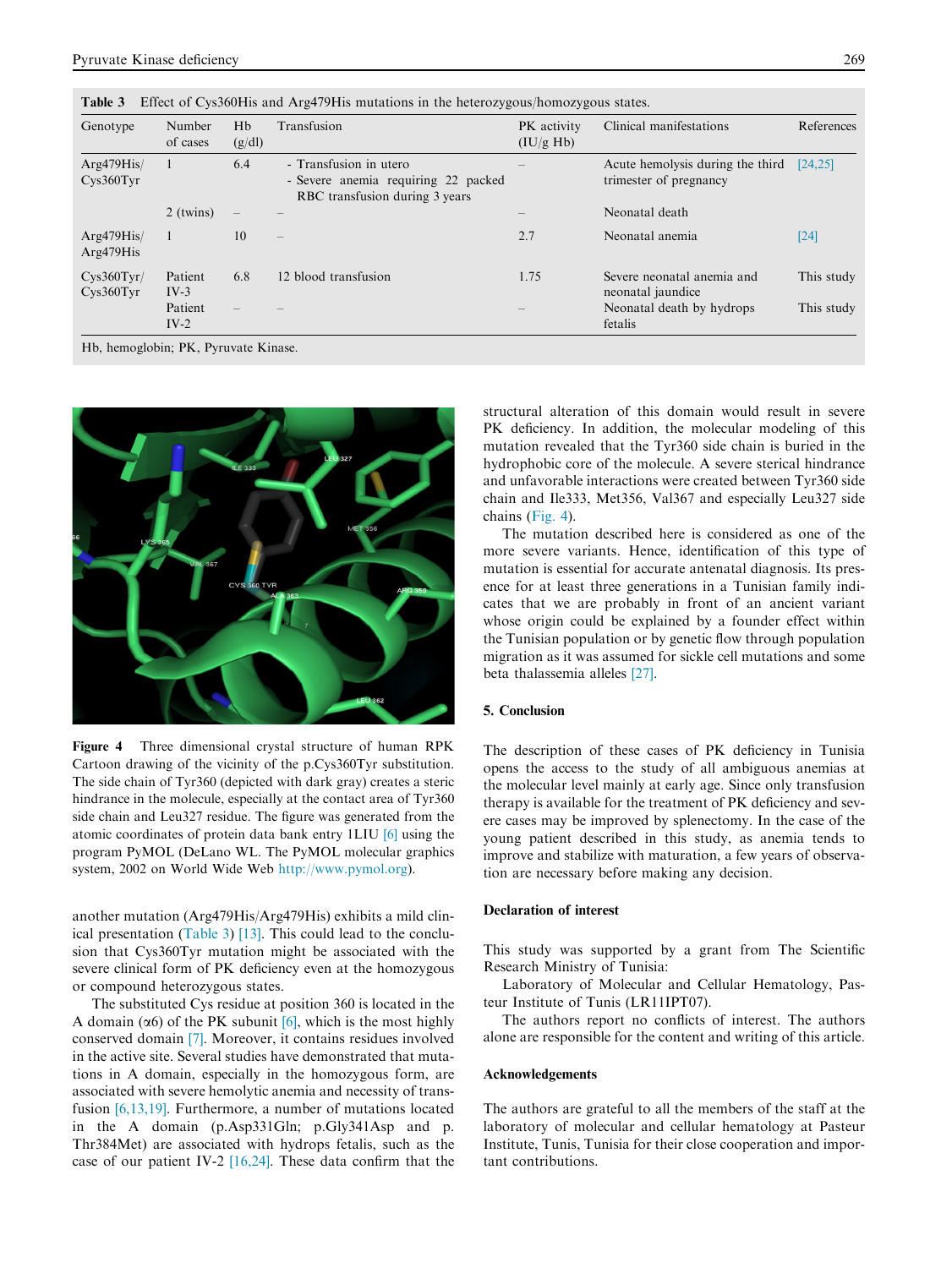| Genotype                             | Number<br>of cases | Hb<br>(g/dl) | Transfusion                                                                                     | PK activity<br>(IU/g Hb) | Clinical manifestations                                    | References |
|--------------------------------------|--------------------|--------------|-------------------------------------------------------------------------------------------------|--------------------------|------------------------------------------------------------|------------|
| Arg479His/<br>$CVS360$ Tyr           |                    | 6.4          | - Transfusion in utero<br>- Severe anemia requiring 22 packed<br>RBC transfusion during 3 years |                          | Acute hemolysis during the third<br>trimester of pregnancy | [24, 25]   |
|                                      | 2 (twins)          |              |                                                                                                 |                          | Neonatal death                                             |            |
| Arg479His/<br>Arg479His              |                    | 10           | $\equiv$                                                                                        | 2.7                      | Neonatal anemia                                            | $[24]$     |
| Cys360Tyr/<br>$Cys360$ Tyr           | Patient<br>$IV-3$  | 6.8          | 12 blood transfusion                                                                            | 1.75                     | Severe neonatal anemia and<br>neonatal jaundice            | This study |
|                                      | Patient<br>$IV-2$  |              |                                                                                                 |                          | Neonatal death by hydrops<br>fetalis                       | This study |
| Hb, hemoglobin: PK, Pyruvate Kinase. |                    |              |                                                                                                 |                          |                                                            |            |

Table 3 Effect of Cys360His and Arg479His mutations in the heterozygous/homozygous states.



Figure 4 Three dimensional crystal structure of human RPK Cartoon drawing of the vicinity of the p.Cys360Tyr substitution. The side chain of Tyr360 (depicted with dark gray) creates a steric hindrance in the molecule, especially at the contact area of Tyr360 side chain and Leu327 residue. The figure was generated from the atomic coordinates of protein data bank entry 1LIU [\[6\]](#page-5-0) using the program PyMOL (DeLano WL. The PyMOL molecular graphics system, 2002 on World Wide Web <http://www.pymol.org>).

another mutation (Arg479His/Arg479His) exhibits a mild clinical presentation (Table 3) [\[13\]](#page-5-0). This could lead to the conclusion that Cys360Tyr mutation might be associated with the severe clinical form of PK deficiency even at the homozygous or compound heterozygous states.

The substituted Cys residue at position 360 is located in the A domain ( $\alpha$ 6) of the PK subunit [\[6\],](#page-5-0) which is the most highly conserved domain [\[7\]](#page-5-0). Moreover, it contains residues involved in the active site. Several studies have demonstrated that mutations in A domain, especially in the homozygous form, are associated with severe hemolytic anemia and necessity of transfusion [\[6,13,19\]](#page-5-0). Furthermore, a number of mutations located in the A domain (p.Asp331Gln; p.Gly341Asp and p. Thr384Met) are associated with hydrops fetalis, such as the case of our patient IV-2 [\[16,24\].](#page-5-0) These data confirm that the structural alteration of this domain would result in severe PK deficiency. In addition, the molecular modeling of this mutation revealed that the Tyr360 side chain is buried in the hydrophobic core of the molecule. A severe sterical hindrance and unfavorable interactions were created between Tyr360 side chain and Ile333, Met356, Val367 and especially Leu327 side chains (Fig. 4).

The mutation described here is considered as one of the more severe variants. Hence, identification of this type of mutation is essential for accurate antenatal diagnosis. Its presence for at least three generations in a Tunisian family indicates that we are probably in front of an ancient variant whose origin could be explained by a founder effect within the Tunisian population or by genetic flow through population migration as it was assumed for sickle cell mutations and some beta thalassemia alleles [\[27\]](#page-5-0).

# 5. Conclusion

The description of these cases of PK deficiency in Tunisia opens the access to the study of all ambiguous anemias at the molecular level mainly at early age. Since only transfusion therapy is available for the treatment of PK deficiency and severe cases may be improved by splenectomy. In the case of the young patient described in this study, as anemia tends to improve and stabilize with maturation, a few years of observation are necessary before making any decision.

## Declaration of interest

This study was supported by a grant from The Scientific Research Ministry of Tunisia:

Laboratory of Molecular and Cellular Hematology, Pasteur Institute of Tunis (LR11IPT07).

The authors report no conflicts of interest. The authors alone are responsible for the content and writing of this article.

#### Acknowledgements

The authors are grateful to all the members of the staff at the laboratory of molecular and cellular hematology at Pasteur Institute, Tunis, Tunisia for their close cooperation and important contributions.